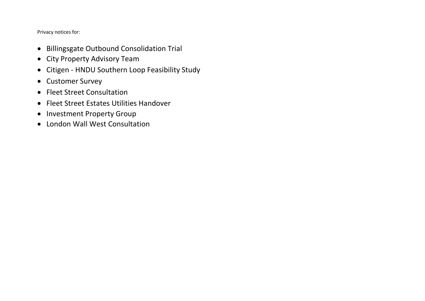Privacy notices for:

- Billingsgate Outbound Consolidation Trial
- City Property Advisory Team
- Citigen HNDU Southern Loop Feasibility Study
- Customer Survey
- Fleet Street Consultation
- Fleet Street Estates Utilities Handover
- Investment Property Group
- London Wall West Consultation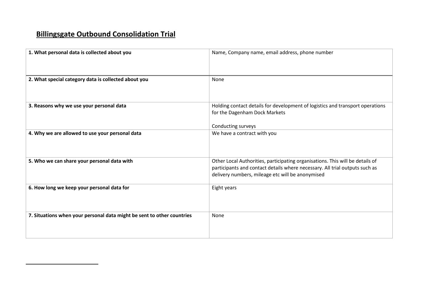# **Billingsgate Outbound Consolidation Trial**

| 1. What personal data is collected about you                           | Name, Company name, email address, phone number                                                                                                                                                                  |
|------------------------------------------------------------------------|------------------------------------------------------------------------------------------------------------------------------------------------------------------------------------------------------------------|
| 2. What special category data is collected about you                   | None                                                                                                                                                                                                             |
| 3. Reasons why we use your personal data                               | Holding contact details for development of logistics and transport operations<br>for the Dagenham Dock Markets<br>Conducting surveys                                                                             |
| 4. Why we are allowed to use your personal data                        | We have a contract with you                                                                                                                                                                                      |
| 5. Who we can share your personal data with                            | Other Local Authorities, participating organisations. This will be details of<br>participants and contact details where necessary. All trial outputs such as<br>delivery numbers, mileage etc will be anonymised |
| 6. How long we keep your personal data for                             | Eight years                                                                                                                                                                                                      |
| 7. Situations when your personal data might be sent to other countries | None                                                                                                                                                                                                             |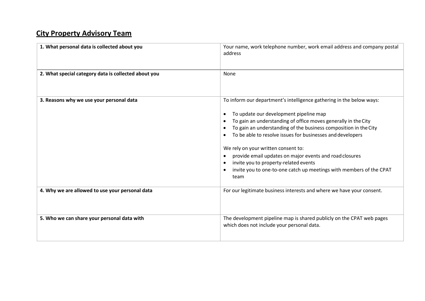# **City Property Advisory Team**

| 1. What personal data is collected about you         | Your name, work telephone number, work email address and company postal<br>address                                                                                                                                                                                                                                                                                                                                                                                                                                                           |
|------------------------------------------------------|----------------------------------------------------------------------------------------------------------------------------------------------------------------------------------------------------------------------------------------------------------------------------------------------------------------------------------------------------------------------------------------------------------------------------------------------------------------------------------------------------------------------------------------------|
| 2. What special category data is collected about you | None                                                                                                                                                                                                                                                                                                                                                                                                                                                                                                                                         |
| 3. Reasons why we use your personal data             | To inform our department's intelligence gathering in the below ways:<br>To update our development pipeline map<br>To gain an understanding of office moves generally in the City<br>To gain an understanding of the business composition in the City<br>To be able to resolve issues for businesses and developers<br>We rely on your written consent to:<br>provide email updates on major events and road closures<br>invite you to property-related events<br>invite you to one-to-one catch up meetings with members of the CPAT<br>team |
| 4. Why we are allowed to use your personal data      | For our legitimate business interests and where we have your consent.                                                                                                                                                                                                                                                                                                                                                                                                                                                                        |
| 5. Who we can share your personal data with          | The development pipeline map is shared publicly on the CPAT web pages<br>which does not include your personal data.                                                                                                                                                                                                                                                                                                                                                                                                                          |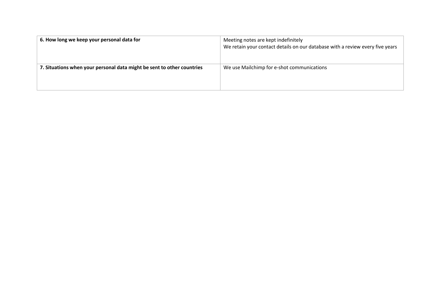| 6. How long we keep your personal data for                             | Meeting notes are kept indefinitely<br>We retain your contact details on our database with a review every five years |
|------------------------------------------------------------------------|----------------------------------------------------------------------------------------------------------------------|
| 7. Situations when your personal data might be sent to other countries | We use Mailchimp for e-shot communications                                                                           |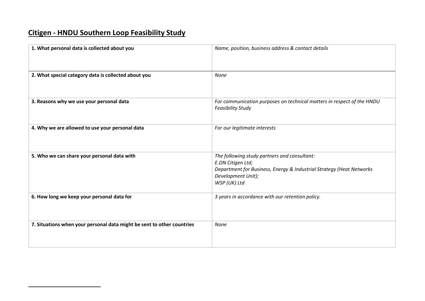# **Citigen - HNDU Southern Loop Feasibility Study**

| 1. What personal data is collected about you                           | Name, position, business address & contact details                                                                                                                              |
|------------------------------------------------------------------------|---------------------------------------------------------------------------------------------------------------------------------------------------------------------------------|
| 2. What special category data is collected about you                   | <b>None</b>                                                                                                                                                                     |
| 3. Reasons why we use your personal data                               | For communication purposes on technical matters in respect of the HNDU<br><b>Feasibility Study</b>                                                                              |
| 4. Why we are allowed to use your personal data                        | For our legitimate interests                                                                                                                                                    |
| 5. Who we can share your personal data with                            | The following study partners and consultant:<br>E.ON Citigen Ltd;<br>Department for Business, Energy & Industrial Strategy (Heat Networks<br>Development Unit);<br>WSP (UK) Ltd |
| 6. How long we keep your personal data for                             | 3 years in accordance with our retention policy.                                                                                                                                |
| 7. Situations when your personal data might be sent to other countries | None                                                                                                                                                                            |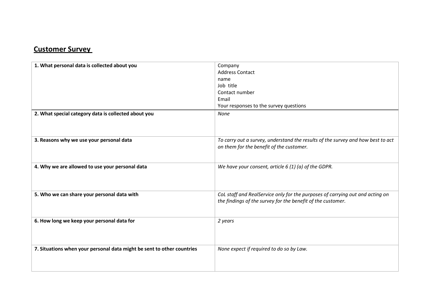#### **Customer Survey**

| 1. What personal data is collected about you<br>2. What special category data is collected about you | Company<br><b>Address Contact</b><br>name<br>Job title<br>Contact number<br>Email<br>Your responses to the survey questions<br>None          |
|------------------------------------------------------------------------------------------------------|----------------------------------------------------------------------------------------------------------------------------------------------|
|                                                                                                      |                                                                                                                                              |
| 3. Reasons why we use your personal data                                                             | To carry out a survey, understand the results of the survey and how best to act<br>on them for the benefit of the customer.                  |
| 4. Why we are allowed to use your personal data                                                      | We have your consent, article $6(1)(a)$ of the GDPR.                                                                                         |
| 5. Who we can share your personal data with                                                          | CoL staff and RealService only for the purposes of carrying out and acting on<br>the findings of the survey for the benefit of the customer. |
| 6. How long we keep your personal data for                                                           | 2 years                                                                                                                                      |
| 7. Situations when your personal data might be sent to other countries                               | None expect if required to do so by Law.                                                                                                     |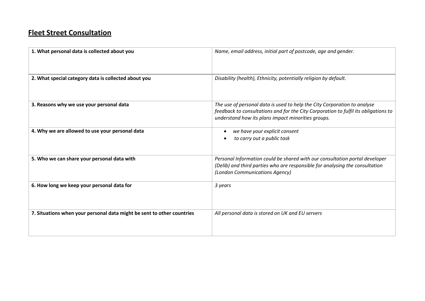#### **Fleet Street Consultation**

| 1. What personal data is collected about you                           | Name, email address, initial part of postcode, age and gender.                                                                                                                                                        |
|------------------------------------------------------------------------|-----------------------------------------------------------------------------------------------------------------------------------------------------------------------------------------------------------------------|
| 2. What special category data is collected about you                   | Disability (health), Ethnicity, potentially religion by default.                                                                                                                                                      |
| 3. Reasons why we use your personal data                               | The use of personal data is used to help the City Corporation to analyse<br>feedback to consultations and for the City Corporation to fulfil its obligations to<br>understand how its plans impact minorities groups. |
| 4. Why we are allowed to use your personal data                        | we have your explicit consent<br>to carry out a public task                                                                                                                                                           |
| 5. Who we can share your personal data with                            | Personal Information could be shared with our consultation portal developer<br>(Delib) and third parties who are responsible for analysing the consultation<br>(London Communications Agency)                         |
| 6. How long we keep your personal data for                             | 3 years                                                                                                                                                                                                               |
| 7. Situations when your personal data might be sent to other countries | All personal data is stored on UK and EU servers                                                                                                                                                                      |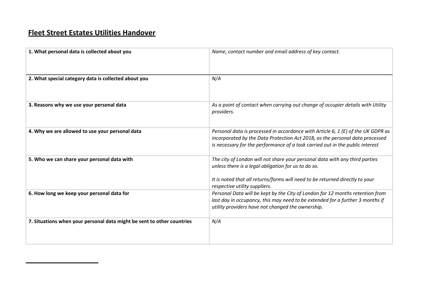## **Fleet Street Estates Utilities Handover**

| 1. What personal data is collected about you                           | Name, contact number and email address of key contact.                                                                                                                                                                                              |
|------------------------------------------------------------------------|-----------------------------------------------------------------------------------------------------------------------------------------------------------------------------------------------------------------------------------------------------|
| 2. What special category data is collected about you                   | N/A                                                                                                                                                                                                                                                 |
| 3. Reasons why we use your personal data                               | As a point of contact when carrying out change of occupier details with Utility<br>providers.                                                                                                                                                       |
| 4. Why we are allowed to use your personal data                        | Personal data is processed in accordance with Article 6, 1 (E) of the UK GDPR as<br>incorporated by the Data Protection Act 2018, as the personal data processed<br>is necessary for the performance of a task carried out in the public interest   |
| 5. Who we can share your personal data with                            | The city of London will not share your personal data with any third parties<br>unless there is a legal obligation for us to do so.<br>It is noted that all returns/forms will need to be returned directly to your<br>respective utility suppliers. |
| 6. How long we keep your personal data for                             | Personal Data will be kept by the City of London for 12 months retention from<br>last day in occupancy, this may need to be extended for a further 3 months if<br>utility providers have not changed the ownership.                                 |
| 7. Situations when your personal data might be sent to other countries | N/A                                                                                                                                                                                                                                                 |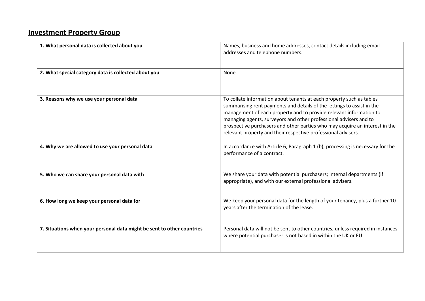## **Investment Property Group**

| 1. What personal data is collected about you                           | Names, business and home addresses, contact details including email<br>addresses and telephone numbers.                                                                                                                                                                                                                                                                                                                                   |
|------------------------------------------------------------------------|-------------------------------------------------------------------------------------------------------------------------------------------------------------------------------------------------------------------------------------------------------------------------------------------------------------------------------------------------------------------------------------------------------------------------------------------|
| 2. What special category data is collected about you                   | None.                                                                                                                                                                                                                                                                                                                                                                                                                                     |
| 3. Reasons why we use your personal data                               | To collate information about tenants at each property such as tables<br>summarising rent payments and details of the lettings to assist in the<br>management of each property and to provide relevant information to<br>managing agents, surveyors and other professional advisers and to<br>prospective purchasers and other parties who may acquire an interest in the<br>relevant property and their respective professional advisers. |
| 4. Why we are allowed to use your personal data                        | In accordance with Article 6, Paragraph 1 (b), processing is necessary for the<br>performance of a contract.                                                                                                                                                                                                                                                                                                                              |
| 5. Who we can share your personal data with                            | We share your data with potential purchasers; internal departments (if<br>appropriate), and with our external professional advisers.                                                                                                                                                                                                                                                                                                      |
| 6. How long we keep your personal data for                             | We keep your personal data for the length of your tenancy, plus a further 10<br>years after the termination of the lease.                                                                                                                                                                                                                                                                                                                 |
| 7. Situations when your personal data might be sent to other countries | Personal data will not be sent to other countries, unless required in instances<br>where potential purchaser is not based in within the UK or EU.                                                                                                                                                                                                                                                                                         |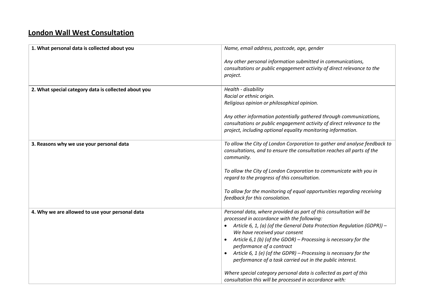#### **London Wall West Consultation**

| 1. What personal data is collected about you         | Name, email address, postcode, age, gender                                                                                                                                                                   |
|------------------------------------------------------|--------------------------------------------------------------------------------------------------------------------------------------------------------------------------------------------------------------|
|                                                      | Any other personal information submitted in communications,<br>consultations or public engagement activity of direct relevance to the<br>project.                                                            |
| 2. What special category data is collected about you | Health - disability<br>Racial or ethnic origin.<br>Religious opinion or philosophical opinion.                                                                                                               |
|                                                      | Any other information potentially gathered through communications,<br>consultations or public engagement activity of direct relevance to the<br>project, including optional equality monitoring information. |
| 3. Reasons why we use your personal data             | To allow the City of London Corporation to gather and analyse feedback to<br>consultations, and to ensure the consultation reaches all parts of the<br>community.                                            |
|                                                      | To allow the City of London Corporation to communicate with you in<br>regard to the progress of this consultation.                                                                                           |
|                                                      | To allow for the monitoring of equal opportunities regarding receiving<br>feedback for this consolation.                                                                                                     |
| 4. Why we are allowed to use your personal data      | Personal data, where provided as part of this consultation will be<br>processed in accordance with the following:                                                                                            |
|                                                      | Article 6, 1, (a) (of the General Data Protection Regulation (GDPR)) -<br>We have received your consent                                                                                                      |
|                                                      | Article $6,1$ (b) (of the GDOR) – Processing is necessary for the<br>performance of a contract                                                                                                               |
|                                                      | Article 6, 1 (e) (of the GDPR) - Processing is necessary for the<br>performance of a task carried out in the public interest.                                                                                |
|                                                      | Where special category personal data is collected as part of this<br>consultation this will be processed in accordance with:                                                                                 |